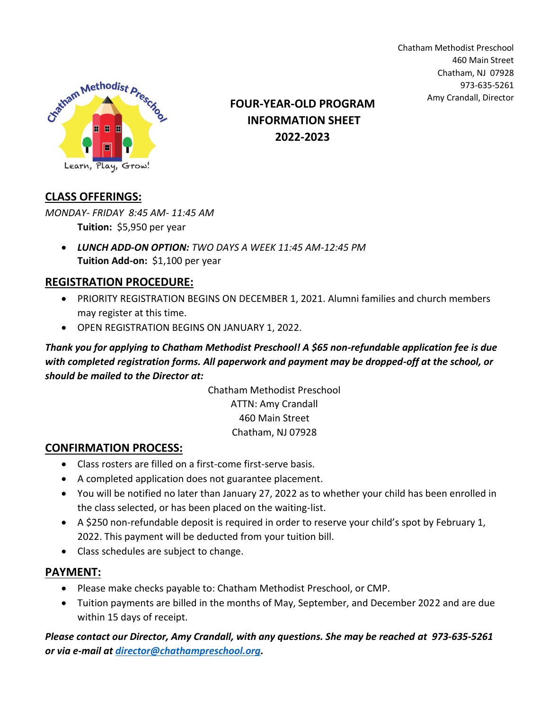

Amy Crandall, Director **FOUR-YEAR-OLD PROGRAM INFORMATION SHEET 2022-2023**

Chatham Methodist Preschool 460 Main Street Chatham, NJ 07928 973-635-5261

## **CLASS OFFERINGS:**

*MONDAY- FRIDAY 8:45 AM- 11:45 AM* **Tuition:** \$5,950 per year

• *LUNCH ADD-ON OPTION: TWO DAYS A WEEK 11:45 AM-12:45 PM* **Tuition Add-on:** \$1,100 per year

## **REGISTRATION PROCEDURE:**

- PRIORITY REGISTRATION BEGINS ON DECEMBER 1, 2021. Alumni families and church members may register at this time.
- OPEN REGISTRATION BEGINS ON JANUARY 1, 2022.

*Thank you for applying to Chatham Methodist Preschool! A \$65 non-refundable application fee is due with completed registration forms. All paperwork and payment may be dropped-off at the school, or should be mailed to the Director at:*

> Chatham Methodist Preschool ATTN: Amy Crandall 460 Main Street Chatham, NJ 07928

## **CONFIRMATION PROCESS:**

- Class rosters are filled on a first-come first-serve basis.
- A completed application does not guarantee placement.
- You will be notified no later than January 27, 2022 as to whether your child has been enrolled in the class selected, or has been placed on the waiting-list.
- A \$250 non-refundable deposit is required in order to reserve your child's spot by February 1, 2022. This payment will be deducted from your tuition bill.
- Class schedules are subject to change.

## **PAYMENT:**

- Please make checks payable to: Chatham Methodist Preschool, or CMP.
- Tuition payments are billed in the months of May, September, and December 2022 and are due within 15 days of receipt.

*Please contact our Director, Amy Crandall, with any questions. She may be reached at 973-635-5261 or via e-mail at [director@chathampreschool.org.](mailto:director@chathampreschool.org)*